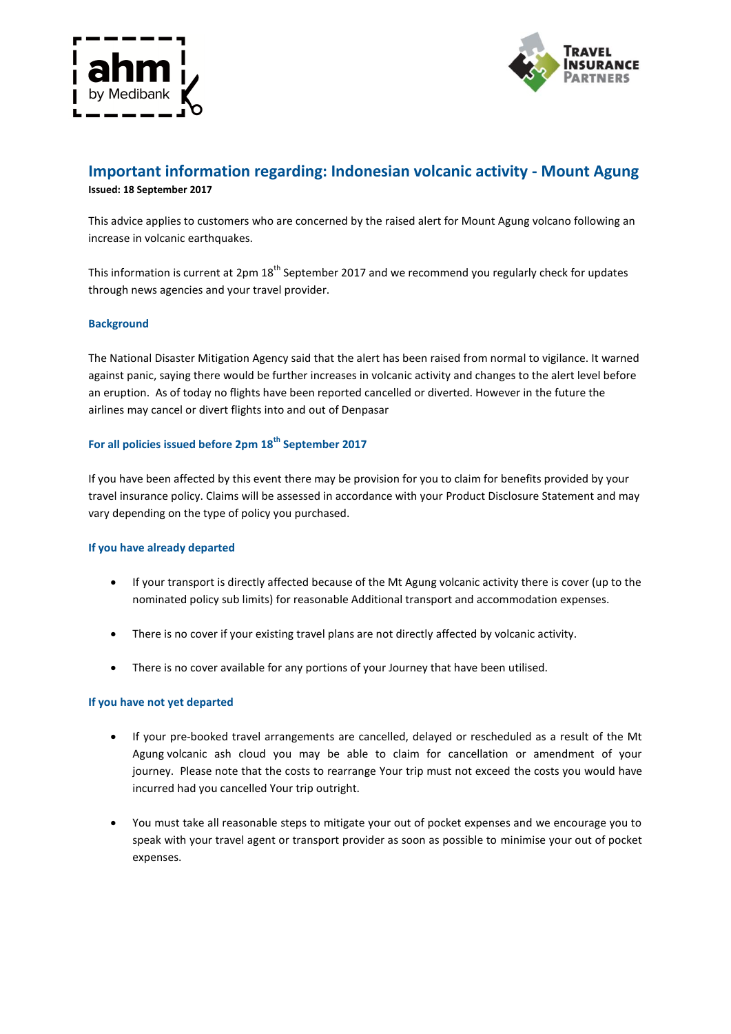



# **Important information regarding: Indonesian volcanic activity - Mount Agung Issued: 18 September 2017**

This advice applies to customers who are concerned by the raised alert for Mount Agung volcano following an increase in volcanic earthquakes.

This information is current at  $2pm 18$ <sup>th</sup> September 2017 and we recommend you regularly check for updates through news agencies and your travel provider.

## **Background**

The National Disaster Mitigation Agency said that the alert has been raised from normal to vigilance. It warned against panic, saying there would be further increases in volcanic activity and changes to the alert level before an eruption. As of today no flights have been reported cancelled or diverted. However in the future the airlines may cancel or divert flights into and out of Denpasar

# **For all policies issued before 2pm 18th September 2017**

If you have been affected by this event there may be provision for you to claim for benefits provided by your travel insurance policy. Claims will be assessed in accordance with your Product Disclosure Statement and may vary depending on the type of policy you purchased.

#### **If you have already departed**

- If your transport is directly affected because of the Mt Agung volcanic activity there is cover (up to the nominated policy sub limits) for reasonable Additional transport and accommodation expenses.
- There is no cover if your existing travel plans are not directly affected by volcanic activity.
- There is no cover available for any portions of your Journey that have been utilised.

#### **If you have not yet departed**

- If your pre-booked travel arrangements are cancelled, delayed or rescheduled as a result of the Mt Agung volcanic ash cloud you may be able to claim for cancellation or amendment of your journey. Please note that the costs to rearrange Your trip must not exceed the costs you would have incurred had you cancelled Your trip outright.
- You must take all reasonable steps to mitigate your out of pocket expenses and we encourage you to speak with your travel agent or transport provider as soon as possible to minimise your out of pocket expenses.